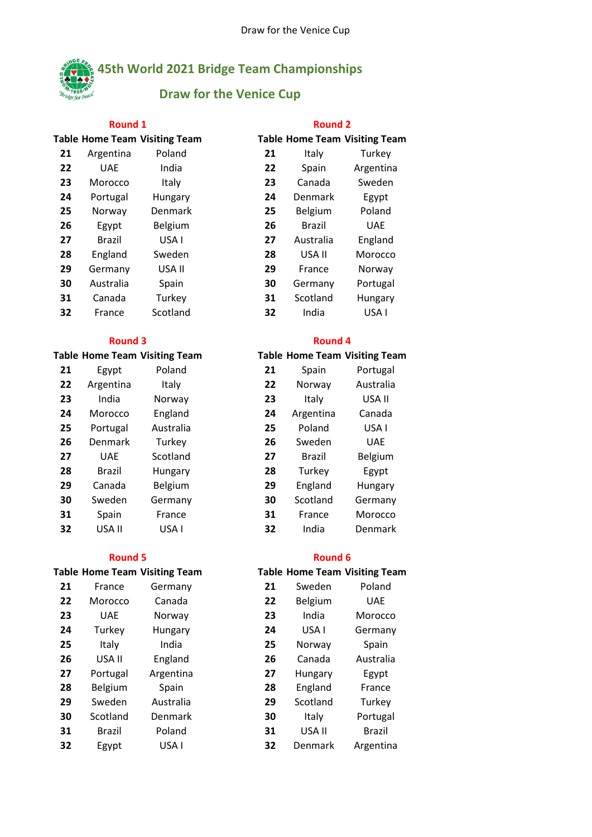

## **45th World 2021 Bridge Team Championships**

## **Draw for the Venice Cup**

### **Round 1 Round 2**

|    |               | <b>Table Home Team Visiting Team</b> |    |               | <b>Table Home Team Visiting Team</b> |
|----|---------------|--------------------------------------|----|---------------|--------------------------------------|
| 21 | Argentina     | Poland                               | 21 | Italy         | Turkey                               |
| 22 | <b>UAE</b>    | India                                | 22 | Spain         | Argentina                            |
| 23 | Morocco       | Italy                                | 23 | Canada        | Sweden                               |
| 24 | Portugal      | Hungary                              | 24 | Denmark       | Egypt                                |
| 25 | Norway        | <b>Denmark</b>                       | 25 | Belgium       | Poland                               |
| 26 | Egypt         | Belgium                              | 26 | <b>Brazil</b> | <b>UAE</b>                           |
| 27 | <b>Brazil</b> | USA I                                | 27 | Australia     | England                              |
| 28 | England       | Sweden                               | 28 | USA II        | Morocco                              |
| 29 | Germany       | USA II                               | 29 | France        | Norway                               |
| 30 | Australia     | Spain                                | 30 | Germany       | Portugal                             |
| 31 | Canada        | Turkey                               | 31 | Scotland      | Hungary                              |
| 32 | France        | Scotland                             | 32 | India         | USA I                                |
|    |               |                                      |    |               |                                      |

| 21 | Egypt         | Poland    | 21 | Spain         | Portugal   |
|----|---------------|-----------|----|---------------|------------|
| 22 | Argentina     | Italy     | 22 | Norway        | Australia  |
| 23 | India         | Norway    | 23 | Italy         | USA II     |
| 24 | Morocco       | England   | 24 | Argentina     | Canada     |
| 25 | Portugal      | Australia | 25 | Poland        | USA I      |
| 26 | Denmark       | Turkey    | 26 | Sweden        | <b>UAE</b> |
| 27 | <b>UAE</b>    | Scotland  | 27 | <b>Brazil</b> | Belgium    |
| 28 | <b>Brazil</b> | Hungary   | 28 | Turkey        | Egypt      |
| 29 | Canada        | Belgium   | 29 | England       | Hungary    |
| 30 | Sweden        | Germany   | 30 | Scotland      | Germany    |
| 31 | Spain         | France    | 31 | France        | Morocco    |
| 32 | USA II        | USA I     | 32 | India         | Denmark    |

| 21 | France        | Germany   | 21 | Sweden   | Poland     |
|----|---------------|-----------|----|----------|------------|
| 22 | Morocco       | Canada    | 22 | Belgium  | <b>UAE</b> |
| 23 | <b>UAE</b>    | Norway    | 23 | India    | Morocco    |
| 24 | Turkey        | Hungary   | 24 | USA I    | Germany    |
| 25 | Italy         | India     | 25 | Norway   | Spain      |
| 26 | USA II        | England   | 26 | Canada   | Australia  |
| 27 | Portugal      | Argentina | 27 | Hungary  | Egypt      |
| 28 | Belgium       | Spain     | 28 | England  | France     |
| 29 | Sweden        | Australia | 29 | Scotland | Turkey     |
| 30 | Scotland      | Denmark   | 30 | Italy    | Portugal   |
| 31 | <b>Brazil</b> | Poland    | 31 | USA II   | Brazil     |
| 32 | Egypt         | USA I     | 32 | Denmark  | Argentina  |
|    |               |           |    |          |            |

|    |           | <b>Fable Home Team Visiting Team</b> |
|----|-----------|--------------------------------------|
| 21 | Italy     | Turkey                               |
| 22 | Spain     | Argentina                            |
| 23 | Canada    | Sweden                               |
| 24 | Denmark   | Egypt                                |
| 25 | Belgium   | Poland                               |
| 26 | Brazil    | UAF                                  |
| 27 | Australia | England                              |
| 28 | USA II    | Morocco                              |
| 29 | France    | Norway                               |
| 30 | Germany   | Portugal                             |
| 31 | Scotland  | Hungary                              |
| 32 | India     | USA I                                |

# **Table Home Team Visiting Team Table Home Team Visiting Team** Norway Australia 24 Argentina Canada 27 Brazil Belgium Turkey Egypt England Hungary Scotland Germany France Morocco USA II USA I **32** India Denmark **Round 3 Round 4**

### **Round 5 Round 6**

# **Table Home Team Visiting Team Table Home Team Visiting Team**

| 21 | Sweden   | Poland     |
|----|----------|------------|
| 22 | Belgium  | <b>UAE</b> |
| 23 | India    | Morocco    |
| 24 | USA I    | Germany    |
| 25 | Norway   | Spain      |
| 26 | Canada   | Australia  |
| 27 | Hungary  | Egypt      |
| 28 | England  | France     |
| 29 | Scotland | Turkey     |
| 30 | Italy    | Portugal   |
| 31 | USA II   | Brazil     |
| 32 | Denmark  | Argentina  |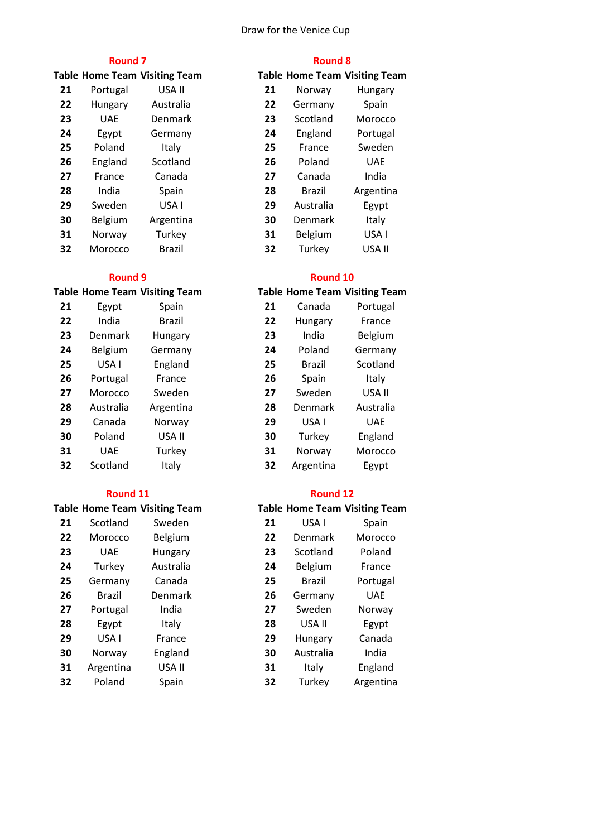### Draw for the Venice Cup

### **Round 7 Round 8**

|    |            | <b>Table Home Team Visiting Team</b> |    |                | <b>Table Home Team Visiting Team</b> |
|----|------------|--------------------------------------|----|----------------|--------------------------------------|
| 21 | Portugal   | USA II                               | 21 | Norway         | Hungary                              |
| 22 | Hungary    | Australia                            | 22 | Germany        | Spain                                |
| 23 | <b>UAE</b> | <b>Denmark</b>                       | 23 | Scotland       | Morocco                              |
| 24 | Egypt      | Germany                              | 24 | England        | Portugal                             |
| 25 | Poland     | Italy                                | 25 | France         | Sweden                               |
| 26 | England    | Scotland                             | 26 | Poland         | <b>UAE</b>                           |
| 27 | France     | Canada                               | 27 | Canada         | India                                |
| 28 | India      | Spain                                | 28 | <b>Brazil</b>  | Argentina                            |
| 29 | Sweden     | USA I                                | 29 | Australia      | Egypt                                |
| 30 | Belgium    | Argentina                            | 30 | <b>Denmark</b> | Italy                                |
| 31 | Norway     | Turkey                               | 31 | Belgium        | USA I                                |
| 32 | Morocco    | <b>Brazil</b>                        | 32 | Turkey         | USA II                               |

| 21 | Egypt      | Spain     | 21 | Canada        | Portug     |
|----|------------|-----------|----|---------------|------------|
| 22 | India      | Brazil    | 22 | Hungary       | Franc      |
| 23 | Denmark    | Hungary   | 23 | India         | Belgiu     |
| 24 | Belgium    | Germany   | 24 | Poland        | Germa      |
| 25 | USA I      | England   | 25 | <b>Brazil</b> | Scotlar    |
| 26 | Portugal   | France    | 26 | Spain         | Italy      |
| 27 | Morocco    | Sweden    | 27 | Sweden        | USA I      |
| 28 | Australia  | Argentina | 28 | Denmark       | Austra     |
| 29 | Canada     | Norway    | 29 | USA I         | <b>UAE</b> |
| 30 | Poland     | USA II    | 30 | Turkey        | Englar     |
| 31 | <b>UAE</b> | Turkey    | 31 | Norway        | Moroc      |
| 32 | Scotland   | Italy     | 32 | Argentina     | Egyp       |
|    |            |           |    |               |            |

### **Table Home Team Visiting Team**

| 21 | Scotland      | Sweden    | 21 | USA I         | Spain      |
|----|---------------|-----------|----|---------------|------------|
| 22 | Morocco       | Belgium   | 22 | Denmark       | Morocco    |
| 23 | <b>UAE</b>    | Hungary   | 23 | Scotland      | Poland     |
| 24 | Turkey        | Australia | 24 | Belgium       | France     |
| 25 | Germany       | Canada    | 25 | <b>Brazil</b> | Portugal   |
| 26 | <b>Brazil</b> | Denmark   | 26 | Germany       | <b>UAE</b> |
| 27 | Portugal      | India     | 27 | Sweden        | Norway     |
| 28 | Egypt         | Italy     | 28 | USA II        | Egypt      |
| 29 | USA I         | France    | 29 | Hungary       | Canada     |
| 30 | Norway        | England   | 30 | Australia     | India      |
| 31 | Argentina     | USA II    | 31 | Italy         | England    |
| 32 | Poland        | Spain     | 32 | Turkey        | Argentina  |

|    |               | <b>Table Home Team Visiting Team</b> |
|----|---------------|--------------------------------------|
| 21 | Norway        | Hungary                              |
| 22 | Germany       | Spain                                |
| 23 | Scotland      | Morocco                              |
| 24 | England       | Portugal                             |
| 25 | France        | Sweden                               |
| 26 | Poland        | <b>UAE</b>                           |
| 27 | Canada        | India                                |
| 28 | <b>Brazil</b> | Argentina                            |
| 29 | Australia     | Egypt                                |
| 30 | Denmark       | Italy                                |
| 31 | Belgium       | USA I                                |
| 32 | Turkey        | USA II                               |

### **Round 9 Round 10**

## **Table Home Team Visiting Team Table Home Team Visiting Team** 21 Canada Portugal Hungary France 23 India Belgium 24 Poland Germany Brazil Scotland Sweden USA II Denmark Australia Turkey England Norway Morocco Argentina Egypt

| <b>Round 11</b> |               |                              |    | Round 12      |                                      |  |
|-----------------|---------------|------------------------------|----|---------------|--------------------------------------|--|
|                 |               | able Home Team Visiting Team |    |               | <b>Table Home Team Visiting Team</b> |  |
| 21              | Scotland      | Sweden                       | 21 | USA I         | Spain                                |  |
| 22              | Morocco       | Belgium                      | 22 | Denmark       | Morocco                              |  |
| 23              | <b>UAE</b>    | Hungary                      | 23 | Scotland      | Poland                               |  |
| 24              | Turkey        | Australia                    | 24 | Belgium       | France                               |  |
| 25              | Germany       | Canada                       | 25 | <b>Brazil</b> | Portugal                             |  |
| 26              | <b>Brazil</b> | Denmark                      | 26 | Germany       | <b>UAE</b>                           |  |
| 27              | Portugal      | India                        | 27 | Sweden        | Norway                               |  |
| 28              | Egypt         | Italy                        | 28 | USA II        | Egypt                                |  |
| 29              | USA I         | France                       | 29 | Hungary       | Canada                               |  |
| 30              | Norway        | England                      | 30 | Australia     | India                                |  |
| 31              | Argentina     | USA II                       | 31 | Italy         | England                              |  |
| 32              | Poland        | Spain                        | 32 | Turkey        | Argentina                            |  |
|                 |               |                              |    |               |                                      |  |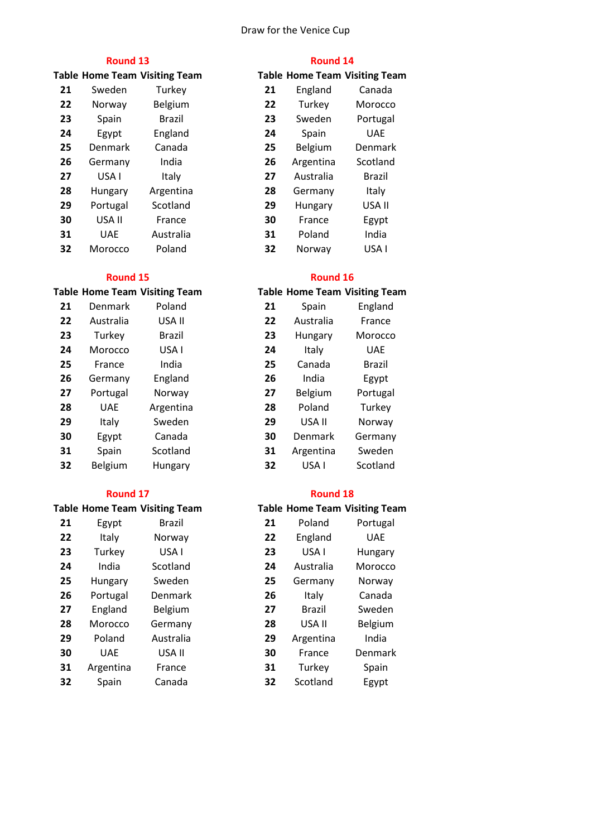### Draw for the Venice Cup

|    |            | <b>Table Home Team Visiting Team</b> |    |           | <b>Table Home Team Visiting Team</b> |
|----|------------|--------------------------------------|----|-----------|--------------------------------------|
| 21 | Sweden     | Turkey                               | 21 | England   | Canada                               |
| 22 | Norway     | Belgium                              | 22 | Turkey    | Morocco                              |
| 23 | Spain      | <b>Brazil</b>                        | 23 | Sweden    | Portugal                             |
| 24 | Egypt      | England                              | 24 | Spain     | <b>UAE</b>                           |
| 25 | Denmark    | Canada                               | 25 | Belgium   | Denmark                              |
| 26 | Germany    | India                                | 26 | Argentina | Scotland                             |
| 27 | USA I      | Italy                                | 27 | Australia | <b>Brazil</b>                        |
| 28 | Hungary    | Argentina                            | 28 | Germany   | Italy                                |
| 29 | Portugal   | Scotland                             | 29 | Hungary   | USA II                               |
| 30 | USA II     | France                               | 30 | France    | Egypt                                |
| 31 | <b>UAE</b> | Australia                            | 31 | Poland    | India                                |
| 32 | Morocco    | Poland                               | 32 | Norway    | USA I                                |

### **Round 15 Round 16**

| 21 | Denmark    | Poland        | 21 | Spain     | England    |
|----|------------|---------------|----|-----------|------------|
| 22 | Australia  | USA II        | 22 | Australia | France     |
| 23 | Turkey     | <b>Brazil</b> | 23 | Hungary   | Morocco    |
| 24 | Morocco    | USA I         | 24 | Italy     | <b>UAE</b> |
| 25 | France     | India         | 25 | Canada    | Brazil     |
| 26 | Germany    | England       | 26 | India     | Egypt      |
| 27 | Portugal   | Norway        | 27 | Belgium   | Portugal   |
| 28 | <b>UAE</b> | Argentina     | 28 | Poland    | Turkey     |
| 29 | Italy      | Sweden        | 29 | USA II    | Norway     |
| 30 | Egypt      | Canada        | 30 | Denmark   | Germany    |
| 31 | Spain      | Scotland      | 31 | Argentina | Sweden     |
| 32 | Belgium    | Hungary       | 32 | USA I     | Scotland   |
|    |            |               |    |           |            |

### **Round 17 Round 18**

## **Table Home Team Visiting Team Table Home Team Visiting Team**

| 21 | Egypt      | <b>Brazil</b> | 21 | Poland    | Portugal   |
|----|------------|---------------|----|-----------|------------|
| 22 | Italy      | Norway        | 22 | England   | <b>UAE</b> |
| 23 | Turkey     | USA I         | 23 | USA I     | Hungary    |
| 24 | India      | Scotland      | 24 | Australia | Morocco    |
| 25 | Hungary    | Sweden        | 25 | Germany   | Norway     |
| 26 | Portugal   | Denmark       | 26 | Italy     | Canada     |
| 27 | England    | Belgium       | 27 | Brazil    | Sweden     |
| 28 | Morocco    | Germany       | 28 | USA II    | Belgium    |
| 29 | Poland     | Australia     | 29 | Argentina | India      |
| 30 | <b>UAE</b> | USA II        | 30 | France    | Denmark    |
| 31 | Argentina  | France        | 31 | Turkey    | Spain      |
| 32 | Spain      | Canada        | 32 | Scotland  | Egypt      |

### **Round 13 Round 14**

|    |           | <b>Table Home Team Visiting Team</b> |
|----|-----------|--------------------------------------|
| 21 | England   | Canada                               |
| 22 | Turkey    | Morocco                              |
| 23 | Sweden    | Portugal                             |
| 24 | Spain     | UAF                                  |
| 25 | Belgium   | Denmark                              |
| 26 | Argentina | Scotland                             |
| 27 | Australia | Brazil                               |
| 28 | Germany   | Italy                                |
| 29 | Hungary   | USA II                               |
| 30 | France    | Egypt                                |
| 31 | Poland    | India                                |
| 32 | Norway    | USA I                                |

# **Table Home Team Visiting Team Table Home Team Visiting Team** Denmark Poland **21** Spain England Australia France 23 Hungary Morocco 25 Canada Brazil 27 Belgium Portugal USA II Norway Denmark Germany Argentina Sweden

|    |           | <b>Table Home Team Visiting Team</b> |
|----|-----------|--------------------------------------|
| 21 | Poland    | Portugal                             |
| 22 | England   | <b>UAE</b>                           |
| 23 | USA I     | Hungary                              |
| 24 | Australia | Morocco                              |
| 25 | Germany   | Norway                               |
| 26 | Italy     | Canada                               |
| 27 | Brazil    | Sweden                               |
| 28 | USA II    | Belgium                              |
| 29 | Argentina | India                                |
| 30 | France    | Denmark                              |
| 31 | Turkey    | Spain                                |
| 32 | Scotland  | Egypt                                |
|    |           |                                      |